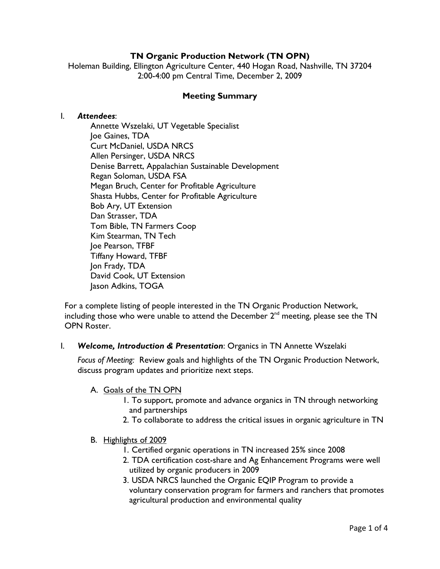## **TN Organic Production Network (TN OPN)**

Holeman Building, Ellington Agriculture Center, 440 Hogan Road, Nashville, TN 37204 2:00-4:00 pm Central Time, December 2, 2009

#### **Meeting Summary**

#### I. *Attendees*:

Annette Wszelaki, UT Vegetable Specialist Joe Gaines, TDA Curt McDaniel, USDA NRCS Allen Persinger, USDA NRCS Denise Barrett, Appalachian Sustainable Development Regan Soloman, USDA FSA Megan Bruch, Center for Profitable Agriculture Shasta Hubbs, Center for Profitable Agriculture Bob Ary, UT Extension Dan Strasser, TDA Tom Bible, TN Farmers Coop Kim Stearman, TN Tech Joe Pearson, TFBF Tiffany Howard, TFBF Jon Frady, TDA David Cook, UT Extension Jason Adkins, TOGA

For a complete listing of people interested in the TN Organic Production Network, including those who were unable to attend the December  $2<sup>nd</sup>$  meeting, please see the TN OPN Roster.

#### I. *Welcome, Introduction & Presentation*: Organics in TN Annette Wszelaki

*Focus of Meeting:* Review goals and highlights of the TN Organic Production Network, discuss program updates and prioritize next steps.

#### A. Goals of the TN OPN

- 1. To support, promote and advance organics in TN through networking and partnerships
- 2. To collaborate to address the critical issues in organic agriculture in TN

#### B. Highlights of 2009

- 1. Certified organic operations in TN increased 25% since 2008
- 2. TDA certification cost-share and Ag Enhancement Programs were well utilized by organic producers in 2009
- 3. USDA NRCS launched the Organic EQIP Program to provide a voluntary conservation program for farmers and ranchers that promotes agricultural production and environmental quality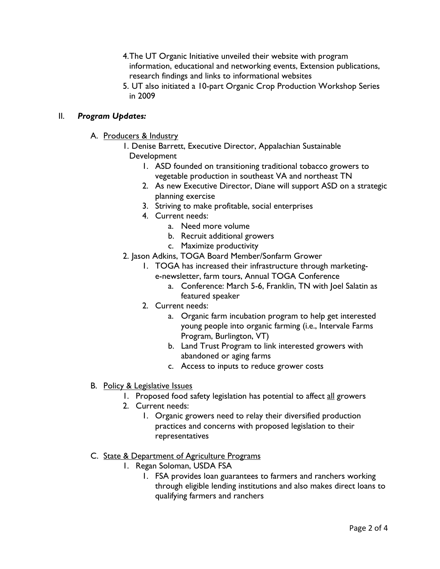- 4.The UT Organic Initiative unveiled their website with program information, educational and networking events, Extension publications, research findings and links to informational websites
- 5. UT also initiated a 10-part Organic Crop Production Workshop Series in 2009

### II. *Program Updates:*

- A. Producers & Industry
	- 1. Denise Barrett, Executive Director, Appalachian Sustainable Development
		- 1. ASD founded on transitioning traditional tobacco growers to vegetable production in southeast VA and northeast TN
		- 2. As new Executive Director, Diane will support ASD on a strategic planning exercise
		- 3. Striving to make profitable, social enterprises
		- 4. Current needs:
			- a. Need more volume
			- b. Recruit additional growers
			- c. Maximize productivity
	- 2. Jason Adkins, TOGA Board Member/Sonfarm Grower
		- 1. TOGA has increased their infrastructure through marketinge-newsletter, farm tours, Annual TOGA Conference
			- a. Conference: March 5-6, Franklin, TN with Joel Salatin as featured speaker
		- 2. Current needs:
			- a. Organic farm incubation program to help get interested young people into organic farming (i.e., Intervale Farms Program, Burlington, VT)
			- b. Land Trust Program to link interested growers with abandoned or aging farms
			- c. Access to inputs to reduce grower costs
- B. Policy & Legislative Issues
	- 1. Proposed food safety legislation has potential to affect all growers
	- 2. Current needs:
		- 1. Organic growers need to relay their diversified production practices and concerns with proposed legislation to their representatives
- C. State & Department of Agriculture Programs
	- 1. Regan Soloman, USDA FSA
		- 1. FSA provides loan guarantees to farmers and ranchers working through eligible lending institutions and also makes direct loans to qualifying farmers and ranchers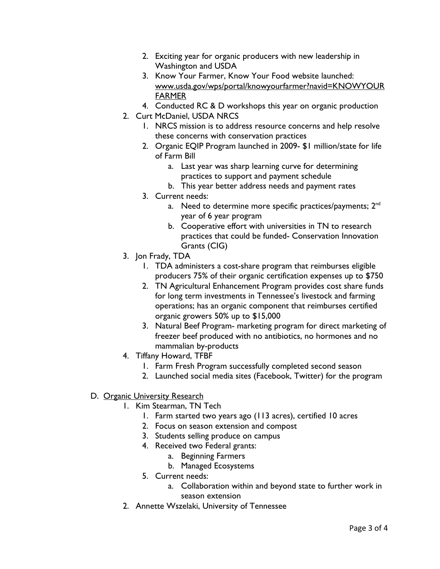- 2. Exciting year for organic producers with new leadership in Washington and USDA
- 3. Know Your Farmer, Know Your Food website launched: www.usda.gov/wps/portal/knowyourfarmer?navid=KNOWYOUR FARMER
- 4. Conducted RC & D workshops this year on organic production
- 2. Curt McDaniel, USDA NRCS
	- 1. NRCS mission is to address resource concerns and help resolve these concerns with conservation practices
	- 2. Organic EQIP Program launched in 2009- \$1 million/state for life of Farm Bill
		- a. Last year was sharp learning curve for determining practices to support and payment schedule
		- b. This year better address needs and payment rates
	- 3. Current needs:
		- a. Need to determine more specific practices/payments; 2<sup>nd</sup> year of 6 year program
		- b. Cooperative effort with universities in TN to research practices that could be funded- Conservation Innovation Grants (CIG)
- 3. Jon Frady, TDA
	- 1. TDA administers a cost-share program that reimburses eligible producers 75% of their organic certification expenses up to \$750
	- 2. TN Agricultural Enhancement Program provides cost share funds for long term investments in Tennessee's livestock and farming operations; has an organic component that reimburses certified organic growers 50% up to \$15,000
	- 3. Natural Beef Program- marketing program for direct marketing of freezer beef produced with no antibiotics, no hormones and no mammalian by-products
- 4. Tiffany Howard, TFBF
	- 1. Farm Fresh Program successfully completed second season
	- 2. Launched social media sites (Facebook, Twitter) for the program

# D. Organic University Research

- 1. Kim Stearman, TN Tech
	- 1. Farm started two years ago (113 acres), certified 10 acres
	- 2. Focus on season extension and compost
	- 3. Students selling produce on campus
	- 4. Received two Federal grants:
		- a. Beginning Farmers
		- b. Managed Ecosystems
	- 5. Current needs:
		- a. Collaboration within and beyond state to further work in season extension
- 2. Annette Wszelaki, University of Tennessee